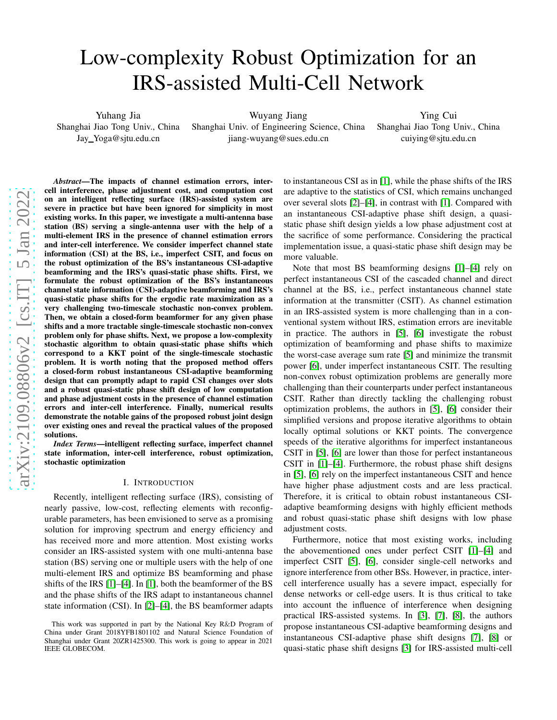# Low-complexity Robust Optimization for an IRS-assisted Multi-Cell Network

Yuhang Jia Shanghai Jiao Tong Univ., China Jay Yoga@sjtu.edu.cn

Wuyang Jiang Shanghai Univ. of Engineering Science, China jiang-wuyang@sues.edu.cn

Ying Cui Shanghai Jiao Tong Univ., China cuiying@sjtu.edu.cn

*Abstract*—The impacts of channel estimation errors, intercell interference, phase adjustment cost, and computation cost on an intelligent reflecting surface (IRS)-assisted system are severe in practice but have been ignored for simplicity in most existing works. In this paper, we investigate a multi-antenna base station (BS) serving a single-antenna user with the help of a multi-element IRS in the presence of channel estimation errors and inter-cell interference. We consider imperfect channel state information (CSI) at the BS, i.e., imperfect CSIT, and focus on the robust optimization of the BS's instantaneous CSI-adaptive beamforming and the IRS's quasi-static phase shifts. First, we formulate the robust optimization of the BS's instantaneou s channel state information (CSI)-adaptive beamforming and IRS's quasi-static phase shifts for the ergodic rate maximization as a very challenging two-timescale stochastic non-convex problem. Then, we obtain a closed-form beamformer for any given phase shifts and a more tractable single-timescale stochastic non-convex problem only for phase shifts. Next, we propose a low-complexity stochastic algorithm to obtain quasi-static phase shifts which correspond to a KKT point of the single-timescale stochasti c problem. It is worth noting that the proposed method offers a closed-form robust instantaneous CSI-adaptive beamforming design that can promptly adapt to rapid CSI changes over slot s and a robust quasi-static phase shift design of low computation and phase adjustment costs in the presence of channel estimation errors and inter-cell interference. Finally, numerical results demonstrate the notable gains of the proposed robust joint design over existing ones and reveal the practical values of the proposed solutions.

*Index Terms*—intelligent reflecting surface, imperfect channel state information, inter-cell interference, robust optimization, stochastic optimization

## I. INTRODUCTION

Recently, intelligent reflecting surface (IRS), consisting of nearly passive, low-cost, reflecting elements with reconfig urable parameters, has been envisioned to serve as a promising solution for improving spectrum and energy efficiency and has received more and more attention. Most existing works consider an IRS-assisted system with one multi-antenna bas e station (BS) serving one or multiple users with the help of on e multi-element IRS and optimize BS beamforming and phase shifts of the IRS [\[1\]](#page-5-0)–[\[4\]](#page-5-1). In [\[1\]](#page-5-0), both the beamformer of the B S and the phase shifts of the IRS adapt to instantaneous channe l state information (CSI). In [\[2\]](#page-5-2)–[\[4\]](#page-5-1), the BS beamformer adapts to instantaneous CSI as in [\[1\]](#page-5-0), while the phase shifts of the IRS are adaptive to the statistics of CSI, which remains unchanged over several slots [\[2\]](#page-5-2)–[\[4\]](#page-5-1), in contrast with [\[1\]](#page-5-0). Compared with an instantaneous CSI-adaptive phase shift design, a quasistatic phase shift design yields a low phase adjustment cost at the sacrifice of some performance. Considering the practica l implementation issue, a quasi-static phase shift design may be more valuable.

Note that most BS beamforming designs [\[1\]](#page-5-0)–[\[4\]](#page-5-1) rely on perfect instantaneous CSI of the cascaded channel and direc t channel at the BS, i.e., perfect instantaneous channel stat e information at the transmitter (CSIT). As channel estimation in an IRS-assisted system is more challenging than in a conventional system without IRS, estimation errors are inevitable in practice. The authors in [\[5\]](#page-5-3), [\[6\]](#page-5-4) investigate the robust optimization of beamforming and phase shifts to maximize the worst-case average sum rate [\[5\]](#page-5-3) and minimize the transmi t power [\[6\]](#page-5-4), under imperfect instantaneous CSIT. The resulting non-convex robust optimization problems are generally mor e challenging than their counterparts under perfect instantaneous CSIT. Rather than directly tackling the challenging robust optimization problems, the authors in [\[5\]](#page-5-3), [\[6\]](#page-5-4) consider their simplified versions and propose iterative algorithms to obtain locally optimal solutions or KKT points. The convergence speeds of the iterative algorithms for imperfect instantaneous CSIT in [\[5\]](#page-5-3), [\[6\]](#page-5-4) are lower than those for perfect instantaneous CSIT in [\[1\]](#page-5-0)–[\[4\]](#page-5-1). Furthermore, the robust phase shift design s in [\[5\]](#page-5-3), [\[6\]](#page-5-4) rely on the imperfect instantaneous CSIT and henc e have higher phase adjustment costs and are less practical. Therefore, it is critical to obtain robust instantaneous CSIadaptive beamforming designs with highly efficient methods and robust quasi-static phase shift designs with low phase adjustment costs.

Furthermore, notice that most existing works, including the abovementioned ones under perfect CSIT [\[1\]](#page-5-0)–[\[4\]](#page-5-1) and imperfect CSIT [\[5\]](#page-5-3), [\[6\]](#page-5-4), consider single-cell networks and ignore interference from other BSs. However, in practice, intercell interference usually has a severe impact, especially for dense networks or cell-edge users. It is thus critical to tak e into account the influence of interference when designing practical IRS-assisted systems. In [\[3\]](#page-5-5), [\[7\]](#page-5-6), [\[8\]](#page-5-7), the authors propose instantaneous CSI-adaptive beamforming designs and instantaneous CSI-adaptive phase shift designs [\[7\]](#page-5-6), [\[8\]](#page-5-7) or quasi-static phase shift designs [\[3\]](#page-5-5) for IRS-assisted multi-cell

This work was supported in part by the National Key R &D Program of China under Grant 2018YFB1801102 and Natural Science Foundation of Shanghai under Grant 20ZR1425300. This work is going to appear in 2021 IEEE GLOBECOM.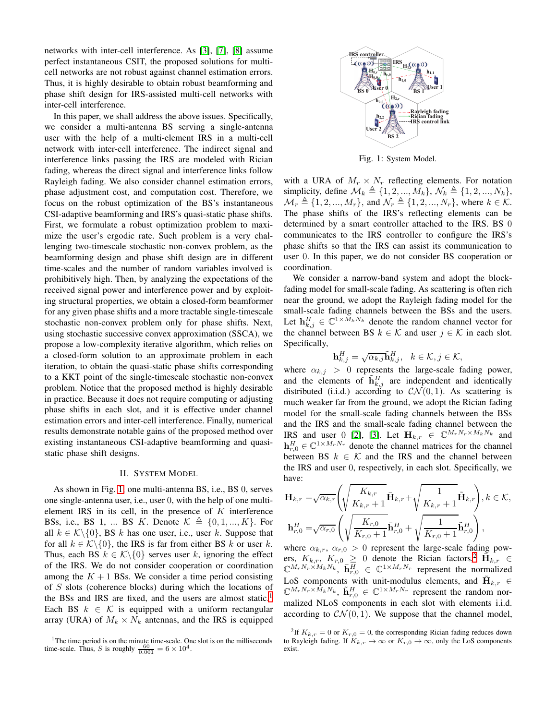networks with inter-cell interference. As [\[3\]](#page-5-5), [\[7\]](#page-5-6), [\[8\]](#page-5-7) assume perfect instantaneous CSIT, the proposed solutions for multicell networks are not robust against channel estimation errors. Thus, it is highly desirable to obtain robust beamforming and phase shift design for IRS-assisted multi-cell networks with inter-cell interference.

In this paper, we shall address the above issues. Specifically, we consider a multi-antenna BS serving a single-antenna user with the help of a multi-element IRS in a multi-cell network with inter-cell interference. The indirect signal and interference links passing the IRS are modeled with Rician fading, whereas the direct signal and interference links follow Rayleigh fading. We also consider channel estimation errors, phase adjustment cost, and computation cost. Therefore, we focus on the robust optimization of the BS's instantaneous CSI-adaptive beamforming and IRS's quasi-static phase shifts. First, we formulate a robust optimization problem to maximize the user's ergodic rate. Such problem is a very challenging two-timescale stochastic non-convex problem, as the beamforming design and phase shift design are in different time-scales and the number of random variables involved is prohibitively high. Then, by analyzing the expectations of the received signal power and interference power and by exploiting structural properties, we obtain a closed-form beamformer for any given phase shifts and a more tractable single-timescale stochastic non-convex problem only for phase shifts. Next, using stochastic successive convex approximation (SSCA), we propose a low-complexity iterative algorithm, which relies on a closed-form solution to an approximate problem in each iteration, to obtain the quasi-static phase shifts corresponding to a KKT point of the single-timescale stochastic non-convex problem. Notice that the proposed method is highly desirable in practice. Because it does not require computing or adjusting phase shifts in each slot, and it is effective under channel estimation errors and inter-cell interference. Finally, numerical results demonstrate notable gains of the proposed method over existing instantaneous CSI-adaptive beamforming and quasistatic phase shift designs.

## II. SYSTEM MODEL

<span id="page-1-1"></span>As shown in Fig. [1,](#page-1-0) one multi-antenna BS, i.e., BS 0, serves one single-antenna user, i.e., user 0, with the help of one multielement IRS in its cell, in the presence of  $K$  interference BSs, i.e., BS 1, ... BS K. Denote  $\mathcal{K} \triangleq \{0, 1, ..., K\}$ . For all  $k \in \mathcal{K} \setminus \{0\}$ , BS k has one user, i.e., user k. Suppose that for all  $k \in \mathcal{K} \setminus \{0\}$ , the IRS is far from either BS k or user k. Thus, each BS  $k \in \mathcal{K} \setminus \{0\}$  serves user k, ignoring the effect of the IRS. We do not consider cooperation or coordination among the  $K + 1$  BSs. We consider a time period consisting of S slots (coherence blocks) during which the locations of the BSs and IRS are fixed, and the users are almost static.<sup>1</sup> Each BS  $k \in \mathcal{K}$  is equipped with a uniform rectangular array (URA) of  $M_k \times N_k$  antennas, and the IRS is equipped

<span id="page-1-0"></span>

Fig. 1: System Model.

with a URA of  $M_r \times N_r$  reflecting elements. For notation simplicity, define  $\mathcal{M}_k \triangleq \{1, 2, ..., M_k\}, \mathcal{N}_k \triangleq \{1, 2, ..., N_k\},$  $\mathcal{M}_r \triangleq \{1, 2, ..., M_r\}$ , and  $\mathcal{N}_r \triangleq \{1, 2, ..., N_r\}$ , where  $k \in \mathcal{K}$ . The phase shifts of the IRS's reflecting elements can be determined by a smart controller attached to the IRS. BS 0 communicates to the IRS controller to configure the IRS's phase shifts so that the IRS can assist its communication to user 0. In this paper, we do not consider BS cooperation or coordination.

We consider a narrow-band system and adopt the blockfading model for small-scale fading. As scattering is often rich near the ground, we adopt the Rayleigh fading model for the small-scale fading channels between the BSs and the users. Let  $\mathbf{h}_{k,j}^H \in \mathbb{C}^{1 \times \bar{M}_k N_k}$  denote the random channel vector for the channel between BS  $k \in \mathcal{K}$  and user  $j \in \mathcal{K}$  in each slot. Specifically,

$$
\mathbf{h}_{k,j}^H = \sqrt{\alpha_{k,j}} \tilde{\mathbf{h}}_{k,j}^H, \quad k \in \mathcal{K}, j \in \mathcal{K},
$$

where  $\alpha_{k,j} > 0$  represents the large-scale fading power, and the elements of  $\tilde{\mathbf{h}}_{k,j}^H$  are independent and identically distributed (i.i.d.) according to  $CN(0, 1)$ . As scattering is much weaker far from the ground, we adopt the Rician fading model for the small-scale fading channels between the BSs and the IRS and the small-scale fading channel between the IRS and user 0 [\[2\]](#page-5-2), [\[3\]](#page-5-5). Let  $\mathbf{H}_{k,r} \in \mathbb{C}^{M_r N_r \times M_k N_k}$  and  $\mathbf{h}_{r,0}^H \in \mathbb{C}^{1 \times M_r N_r}$  denote the channel matrices for the channel between BS  $k \in \mathcal{K}$  and the IRS and the channel between the IRS and user 0, respectively, in each slot. Specifically, we have:

$$
\mathbf{H}_{k,r} = \sqrt{\alpha_{k,r}} \left( \sqrt{\frac{K_{k,r}}{K_{k,r}+1}} \bar{\mathbf{H}}_{k,r} + \sqrt{\frac{1}{K_{k,r}+1}} \tilde{\mathbf{H}}_{k,r} \right), k \in \mathcal{K},
$$
  

$$
\mathbf{h}_{r,0}^{H} = \sqrt{\alpha_{r,0}} \left( \sqrt{\frac{K_{r,0}}{K_{r,0}+1}} \bar{\mathbf{h}}_{r,0}^{H} + \sqrt{\frac{1}{K_{r,0}+1}} \tilde{\mathbf{h}}_{r,0}^{H} \right),
$$

where  $\alpha_{k,r}, \alpha_{r,0} > 0$  represent the large-scale fading powers,  $K_{k,r}$ ,  $K_{r,0} \ge 0$  denote the Rician factors,<sup>2</sup>  $\overline{H}_{k,r} \in \mathbb{C}^{M_r N_r \times M_k N_k}$ ,  $\overline{h}_{r,0}^H \in \mathbb{C}^{1 \times M_r N_r}$  represent the normalized LoS components with unit-modulus elements, and  $\tilde{\mathbf{H}}_{k,r} \in \mathbb{C}^{M_r N_r \times M_k N_k}$ ,  $\tilde{\mathbf{h}}_{r,0}^H \in \mathbb{C}^{1 \times M_r N_r}$  represent the random normalized NLoS components in each slot with elements i.i.d. according to  $\mathcal{CN}(0, 1)$ . We suppose that the channel model,

<sup>&</sup>lt;sup>1</sup>The time period is on the minute time-scale. One slot is on the milliseconds time-scale. Thus, S is roughly  $\frac{60}{0.001} = 6 \times 10^4$ .

<sup>&</sup>lt;sup>2</sup>If  $K_{k,r} = 0$  or  $K_{r,0} = 0$ , the corresponding Rician fading reduces down to Rayleigh fading. If  $K_{k,r} \to \infty$  or  $K_{r,0} \to \infty$ , only the LoS components exist.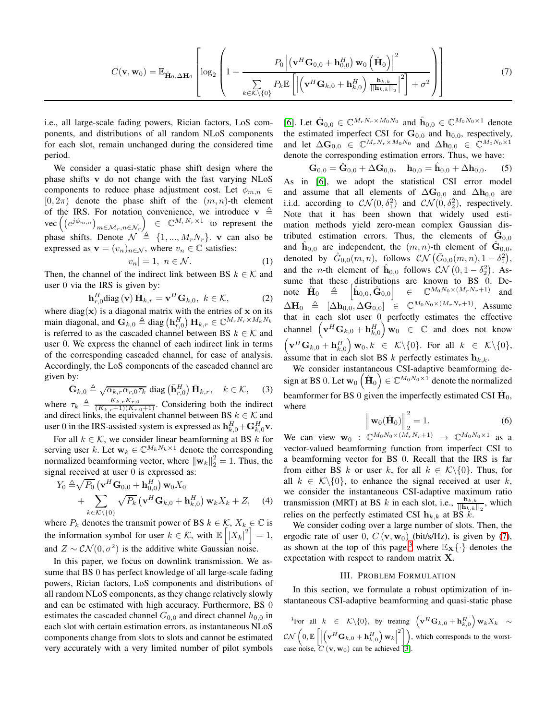$$
C(\mathbf{v}, \mathbf{w}_0) = \mathbb{E}_{\hat{\mathbf{H}}_0, \Delta \mathbf{H}_0} \left[ \log_2 \left( 1 + \frac{P_0 \left| (\mathbf{v}^H \mathbf{G}_{0,0} + \mathbf{h}_{0,0}^H) \mathbf{w}_0 \left( \hat{\mathbf{H}}_0 \right) \right|^2}{\sum\limits_{k \in \mathcal{K} \setminus \{0\}} P_k \mathbb{E} \left[ \left| \left( \mathbf{v}^H \mathbf{G}_{k,0} + \mathbf{h}_{k,0}^H \right) \frac{\mathbf{h}_{k,k}}{\|\mathbf{h}_{k,k}\|_2} \right|^2 \right] + \sigma^2} \right) \right]
$$
(7)

i.e., all large-scale fading powers, Rician factors, LoS components, and distributions of all random NLoS components for each slot, remain unchanged during the considered time period.

We consider a quasi-static phase shift design where the phase shifts v do not change with the fast varying NLoS components to reduce phase adjustment cost. Let  $\phi_{m,n} \in$  $[0, 2\pi)$  denote the phase shift of the  $(m, n)$ -th element of the IRS. For notation convenience, we introduce  $v \triangleq$  $\text{vec}\left( \left( e^{j\phi_{m,n}} \right)_{m \in \mathcal{M}_r, n \in \mathcal{N}_r} \right) \ \in \ \mathbb{C}^{M_r N_r \times 1}$  to represent the phase shifts. Denote  $\mathcal{N} \triangleq \{1, ..., M_rN_r\}$ . v can also be expressed as  $\mathbf{v} = (v_n)_{n \in \mathcal{N}}$ , where  $v_n \in \mathbb{C}$  satisfies:

$$
|v_n| = 1, \ n \in \mathcal{N}.\tag{1}
$$

Then, the channel of the indirect link between BS  $k \in \mathcal{K}$  and user 0 via the IRS is given by:

$$
\mathbf{h}_{r,0}^{H} \text{diag}(\mathbf{v}) \, \mathbf{H}_{k,r} = \mathbf{v}^{H} \mathbf{G}_{k,0}, \ k \in \mathcal{K}, \tag{2}
$$

where diag( $x$ ) is a diagonal matrix with the entries of x on its main diagonal, and  $G_{k,0} \triangleq$  diag  $(\mathbf{h}_{r,0}^H) \mathbf{H}_{k,r} \in \mathbb{C}^{M_r N_r \times M_k N_k}$ is referred to as the cascaded channel between BS  $k \in \mathcal{K}$  and user 0. We express the channel of each indirect link in terms of the corresponding cascaded channel, for ease of analysis. Accordingly, the LoS components of the cascaded channel are given by:

$$
\bar{\mathbf{G}}_{k,0} \triangleq \sqrt{\alpha_{k,r}\alpha_{r,0}\tau_k} \text{ diag}\left(\bar{\mathbf{h}}_{r,0}^H\right) \bar{\mathbf{H}}_{k,r}, \quad k \in \mathcal{K}, \quad (3)
$$

where  $\tau_k \triangleq \frac{K_{k,r}K_{r,0}}{(K_{k,r}+1)(K_{r,0}+1)}$ . Considering both the indirect and direct links, the equivalent channel between BS  $k \in \mathcal{K}$  and user 0 in the IRS-assisted system is expressed as  $\mathbf{h}_{k,0}^H + \mathbf{G}_{k,0}^H \mathbf{v}$ .

For all  $k \in \mathcal{K}$ , we consider linear beamforming at BS k for serving user k. Let  $\mathbf{w}_k \in \mathbb{C}^{M_k N_k \times 1}$  denote the corresponding normalized beamforming vector, where  $\|\mathbf{w}_k\|_2^2 = 1$ . Thus, the signal received at user 0 is expressed as:

$$
Y_0 \triangleq \sqrt{P_0} \left( \mathbf{v}^H \mathbf{G}_{0,0} + \mathbf{h}_{0,0}^H \right) \mathbf{w}_0 X_0
$$
  
+ 
$$
\sum_{k \in \mathcal{K} \setminus \{0\}} \sqrt{P_k} \left( \mathbf{v}^H \mathbf{G}_{k,0} + \mathbf{h}_{k,0}^H \right) \mathbf{w}_k X_k + Z, \quad (4)
$$

where  $P_k$  denotes the transmit power of BS  $k \in K$ ,  $X_k \in \mathbb{C}$  is the information symbol for user  $k \in \mathcal{K}$ , with  $\mathbb{E} \left[ \left| X_k \right|^2 \right] = 1$ , and  $Z \sim \mathcal{CN}(0, \sigma^2)$  is the additive white Gaussian noise.

In this paper, we focus on downlink transmission. We assume that BS 0 has perfect knowledge of all large-scale fading powers, Rician factors, LoS components and distributions of all random NLoS components, as they change relatively slowly and can be estimated with high accuracy. Furthermore, BS 0 estimates the cascaded channel  $G_{0,0}$  and direct channel  $h_{0,0}$  in each slot with certain estimation errors, as instantaneous NLoS components change from slots to slots and cannot be estimated very accurately with a very limited number of pilot symbols

<span id="page-2-0"></span>[\[6\]](#page-5-4). Let  $\hat{\mathbf{G}}_{0,0} \in \mathbb{C}^{M_r N_r \times M_0 N_0}$  and  $\hat{\mathbf{h}}_{0,0} \in \mathbb{C}^{M_0 N_0 \times 1}$  denote the estimated imperfect CSI for  $\mathbf{G}_{0,0}$  and  $\mathbf{h}_{0,0}$ , respectively, and let  $\Delta G_{0,0} \in \mathbb{C}^{M_r N_r \times M_0 N_0}$  and  $\Delta h_{0,0} \in \mathbb{C}^{M_0 N_0 \times 1}$ denote the corresponding estimation errors. Thus, we have:

<span id="page-2-1"></span> $\mathbf{G}_{0,0} = \hat{\mathbf{G}}_{0,0} + \Delta \mathbf{G}_{0,0}, \quad \mathbf{h}_{0,0} = \hat{\mathbf{h}}_{0,0} + \Delta \mathbf{h}_{0,0}.$  (5) As in [\[6\]](#page-5-4), we adopt the statistical CSI error model and assume that all elements of  $\Delta G_{0,0}$  and  $\Delta h_{0,0}$  are i.i.d. according to  $CN(0, \delta_1^2)$  and  $CN(0, \delta_2^2)$ , respectively. Note that it has been shown that widely used estimation methods yield zero-mean complex Gaussian distributed estimation errors. Thus, the elements of  $\hat{G}_{0,0}$ and  $\hat{h}_{0,0}$  are independent, the  $(m, n)$ -th element of  $\hat{G}_{0,0}$ , denoted by  $\hat{G}_{0,0}(m,n)$ , follows  $\mathcal{CN}(\bar{G}_{0,0}(m,n),1-\delta_1^2)$ , and the *n*-th element of  $\hat{\mathbf{h}}_{0,0}$  follows  $\mathcal{CN}\left(0,1-\delta_2^2\right)$ . Assume that these distributions are known to BS 0. Denote  $H_0$  $\triangleq$  $\left[\hat{\mathbf{h}}_{0,0}, \hat{\mathbf{G}}_{0,0}\right] \in \mathbb{C}^{M_0N_0 \times (M_rN_r+1)}$  and  $\Delta \mathbf{H}_0 \triangleq [\Delta \mathbf{h}_{0,0}, \Delta \mathbf{G}_{0,0}] \triangleq \mathbb{C}^{M_0 N_0 \times (M_r N_r+1)}$ . Assume that in each slot user 0 perfectly estimates the effective channel  $\left(\mathbf{v}^H\mathbf{G}_{k,0} + \mathbf{h}^H_{k,0}\right)\mathbf{w}_0 \in \mathbb{C}$  and does not know  $\left(\mathbf{v}^H\mathbf{G}_{k,0} + \mathbf{h}^H_{k,0}\right)\mathbf{w}_0, k \ \in \ \mathcal{K}\backslash\{0\}.$  For all  $k \ \in \ \mathcal{K}\backslash\{0\},$ assume that in each slot BS k perfectly estimates  $h_{k,k}$ .

We consider instantaneous CSI-adaptive beamforming design at BS 0. Let  $\mathbf{w}_0\left(\hat{\mathbf{H}}_0\right) \in \mathbb{C}^{M_0N_0 \times 1}$  denote the normalized beamformer for BS 0 given the imperfectly estimated CSI  $\hat{H}_0$ , where

<span id="page-2-2"></span>
$$
\left\| \mathbf{w}_0(\hat{\mathbf{H}}_0) \right\|_2^2 = 1.
$$
\nWe can view  $\mathbf{w}_0$ :  $\mathbb{C}^{M_0 N_0 \times (M_r N_r + 1)} \to \mathbb{C}^{M_0 N_0 \times 1}$  as a

vector-valued beamforming function from imperfect CSI to a beamforming vector for BS 0. Recall that the IRS is far from either BS k or user k, for all  $k \in \mathcal{K}\backslash\{0\}$ . Thus, for all  $k \in \mathcal{K}\backslash\{0\}$ , to enhance the signal received at user k, we consider the instantaneous CSI-adaptive maximum ratio transmission (MRT) at BS k in each slot, i.e.,  $\frac{\mathbf{h}_{k,k}}{||\mathbf{h}_{k,k}||_2}$ , which relies on the perfectly estimated CSI  $h_{k,k}$  at BS k.

We consider coding over a large number of slots. Then, the ergodic rate of user 0,  $C(\mathbf{v}, \mathbf{w}_0)$  (bit/s/Hz), is given by [\(7\)](#page-2-0), as shown at the top of this page,<sup>3</sup> where  $\mathbb{E}_{\mathbf{X}}\{\cdot\}$  denotes the expectation with respect to random matrix  $X$ .

## III. PROBLEM FORMULATION

In this section, we formulate a robust optimization of instantaneous CSI-adaptive beamforming and quasi-static phase

<sup>3</sup>For all  $k \in \mathcal{K} \setminus \{0\}$ , by treating  $(\mathbf{v}^H \mathbf{G}_{k,0} + \mathbf{h}_{k,0}^H) \mathbf{w}_k X_k \sim$  $\mathcal{CN}\left(0,\mathbb{E}\left[\right]\right)$  $\left(\mathbf{v}^H\mathbf{G}_{k,0} + \mathbf{h}^H_{k,0}\right)\mathbf{w}_k\Big|$  $\binom{2}{1}$ , which corresponds to the worstcase noise,  $C(\mathbf{v}, \mathbf{w}_0)$  can be achieved [\[3\]](#page-5-5).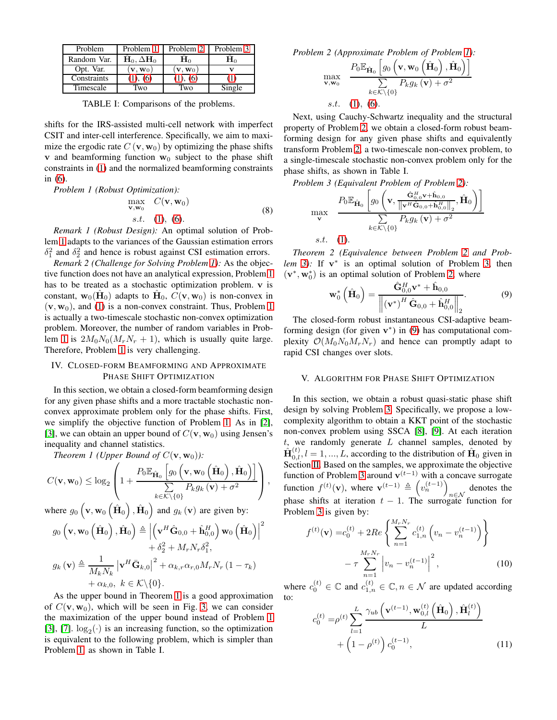| Problem     | Problem 1                  | Problem 2                  | Problem 3        |
|-------------|----------------------------|----------------------------|------------------|
| Random Var. | $H_0, \Delta H_0$          | H٥                         | $\mathbf{H}_{0}$ |
| Opt. Var.   | $\mathbf{v}, \mathbf{w}_0$ | $\mathbf{v}, \mathbf{w}_0$ |                  |
| Constraints | (1), (6)                   | (1), (6)                   |                  |
| Timescale   | Two                        | Two                        | Single           |

TABLE I: Comparisons of the problems.

shifts for the IRS-assisted multi-cell network with imperfect CSIT and inter-cell interference. Specifically, we aim to maximize the ergodic rate  $C(\mathbf{v}, \mathbf{w}_0)$  by optimizing the phase shifts **v** and beamforming function  $w_0$  subject to the phase shift constraints in [\(1\)](#page-2-1) and the normalized beamforming constraints in [\(6\)](#page-2-2).

<span id="page-3-0"></span>*Problem 1 (Robust Optimization):*

$$
\begin{array}{ll}\n\max_{\mathbf{v}, \mathbf{w}_0} & C(\mathbf{v}, \mathbf{w}_0) \\
s.t. & (1), (6).\n\end{array} \tag{8}
$$

*Remark 1 (Robust Design):* An optimal solution of Problem [1](#page-3-0) adapts to the variances of the Gaussian estimation errors  $\delta_1^2$  and  $\delta_2^2$  and hence is robust against CSI estimation errors.

*Remark 2 (Challenge for Solving Problem [1\)](#page-3-0):* As the objective function does not have an analytical expression, Problem [1](#page-3-0) has to be treated as a stochastic optimization problem. v is constant,  $\mathbf{w}_0(\hat{\mathbf{H}}_0)$  adapts to  $\hat{\mathbf{H}}_0$ ,  $\hat{C}(\mathbf{v}, \mathbf{w}_0)$  is non-convex in  $(v, w_0)$ , and [\(1\)](#page-2-1) is a non-convex constraint. Thus, Problem [1](#page-3-0) is actually a two-timescale stochastic non-convex optimization problem. Moreover, the number of random variables in Prob-lem [1](#page-3-0) is  $2M_0N_0(M_rN_r + 1)$ , which is usually quite large. Therefore, Problem [1](#page-3-0) is very challenging.

# IV. CLOSED-FORM BEAMFORMING AND APPROXIMATE PHASE SHIFT OPTIMIZATION

In this section, we obtain a closed-form beamforming design for any given phase shifts and a more tractable stochastic nonconvex approximate problem only for the phase shifts. First, we simplify the objective function of Problem [1.](#page-3-0) As in [\[2\]](#page-5-2), [\[3\]](#page-5-5), we can obtain an upper bound of  $C(\mathbf{v}, \mathbf{w}_0)$  using Jensen's inequality and channel statistics.

<span id="page-3-3"></span>*Theorem 1 (Upper Bound of*  $C(\mathbf{v}, \mathbf{w}_0)$ *)*:

$$
C(\mathbf{v}, \mathbf{w}_0) \leq \log_2 \left( 1 + \frac{P_0 \mathbb{E}_{\hat{\mathbf{H}}_0} \left[ g_0 \left( \mathbf{v}, \mathbf{w}_0 \left( \hat{\mathbf{H}}_0 \right), \hat{\mathbf{H}}_0 \right) \right]}{\sum\limits_{k \in \mathcal{K} \setminus \{0\}} P_k g_k \left( \mathbf{v} \right) + \sigma^2} \right),
$$

where  $g_0 \left( \mathbf{v}, \mathbf{w}_0 \left( \hat{\mathbf{H}}_0 \right), \hat{\mathbf{H}}_0 \right)$  and  $g_k \left( \mathbf{v} \right)$  are given by:

$$
g_0\left(\mathbf{v}, \mathbf{w}_0\left(\hat{\mathbf{H}}_0\right), \hat{\mathbf{H}}_0\right) \triangleq \left|\left(\mathbf{v}^H \hat{\mathbf{G}}_{0,0} + \hat{\mathbf{h}}_{0,0}^H\right) \mathbf{w}_0\left(\hat{\mathbf{H}}_0\right)\right|^2
$$

$$
+ \delta_2^2 + M_r N_r \delta_1^2,
$$

$$
g_k\left(\mathbf{v}\right) \triangleq \frac{1}{M_k N_k} \left|\mathbf{v}^H \bar{\mathbf{G}}_{k,0}\right|^2 + \alpha_{k,r} \alpha_{r,0} M_r N_r \left(1 - \tau_k\right)
$$

$$
+ \alpha_{k,0}, \ k \in \mathcal{K} \setminus \{0\}.
$$

<span id="page-3-1"></span>As the upper bound in Theorem [1](#page-3-3) is a good approximation of  $C(\mathbf{v}, \mathbf{w}_0)$ , which will be seen in Fig. [3,](#page-5-8) we can consider the maximization of the upper bound instead of Problem [1](#page-3-0) [\[3\]](#page-5-5), [\[7\]](#page-5-6).  $\log_2(\cdot)$  is an increasing function, so the optimization is equivalent to the following problem, which is simpler than Problem [1,](#page-3-0) as shown in Table I.

*Problem 2 (Approximate Problem of Problem [1\)](#page-3-0):*

$$
\max_{\mathbf{v}, \mathbf{w}_0} \frac{P_0 \mathbb{E}_{\hat{\mathbf{H}}_0} \left[ g_0 \left( \mathbf{v}, \mathbf{w}_0 \left( \hat{\mathbf{H}}_0 \right), \hat{\mathbf{H}}_0 \right) \right]}{\sum\limits_{k \in \mathcal{K} \setminus \{0\}} P_k g_k \left( \mathbf{v} \right) + \sigma^2}
$$
  
s.t. (1), (6).

Next, using Cauchy-Schwartz inequality and the structural property of Problem [2,](#page-3-1) we obtain a closed-form robust beamforming design for any given phase shifts and equivalently transform Problem [2,](#page-3-1) a two-timescale non-convex problem, to a single-timescale stochastic non-convex problem only for the phase shifts, as shown in Table I.

*Problem 3 (Equivalent Problem of Problem [2\)](#page-3-1):*

<span id="page-3-2"></span>
$$
\max_{\mathbf{v}} \quad \frac{P_0 \mathbb{E}_{\hat{\mathbf{H}}_0} \left[ g_0 \left( \mathbf{v}, \frac{\hat{\mathbf{G}}_{0,0}^H \mathbf{v} + \hat{\mathbf{h}}_{0,0}}{\left\| \mathbf{v}^H \hat{\mathbf{G}}_{0,0} + \hat{\mathbf{h}}_{0,0}^H \right\|_2}, \hat{\mathbf{H}}_0 \right) \right]}{\sum\limits_{k \in \mathcal{K} \setminus \{0\}} P_k g_k \left( \mathbf{v} \right) + \sigma^2}
$$
  
s.t. (1).

<span id="page-3-6"></span>*Theorem 2 (Equivalence between Problem [2](#page-3-1) and Problem* [3\)](#page-3-2): If  $v^*$  is an optimal solution of Problem [3,](#page-3-2) then  $(\mathbf{v}^*, \mathbf{w}_0^*)$  is an optimal solution of Problem [2,](#page-3-1) where

<span id="page-3-4"></span>
$$
\mathbf{w}_{0}^{*}\left(\hat{\mathbf{H}}_{0}\right) = \frac{\hat{\mathbf{G}}_{0,0}^{H} \mathbf{v}^{*} + \hat{\mathbf{h}}_{0,0}}{\left\| \left(\mathbf{v}^{*}\right)^{H} \hat{\mathbf{G}}_{0,0} + \hat{\mathbf{h}}_{0,0}^{H} \right\|_{2}}.
$$
 (9)

The closed-form robust instantaneous CSI-adaptive beamforming design (for given  $v^*$ ) in [\(9\)](#page-3-4) has computational complexity  $\mathcal{O}(M_0N_0M_rN_r)$  and hence can promptly adapt to rapid CSI changes over slots.

## V. ALGORITHM FOR PHASE SHIFT OPTIMIZATION

In this section, we obtain a robust quasi-static phase shift design by solving Problem [3.](#page-3-2) Specifically, we propose a lowcomplexity algorithm to obtain a KKT point of the stochastic non-convex problem using SSCA [\[8\]](#page-5-7), [\[9\]](#page-5-9). At each iteration  $t$ , we randomly generate  $L$  channel samples, denoted by  $\hat{\mathbf{H}}_{0,l}^{(t)}, l = 1, ..., L$ , according to the distribution of  $\hat{\mathbf{H}}_0$  given in Section [II.](#page-1-1) Based on the samples, we approximate the objective function of Problem [3](#page-3-2) around  $\mathbf{v}^{(t-1)}$  with a concave surrogate function  $f^{(t)}(\mathbf{v})$ , where  $\mathbf{v}^{(t-1)} \triangleq \left(v_n^{(t-1)}\right)$ denotes the  $n \in \mathcal{N}$ phase shifts at iteration  $t - 1$ . The surrogate function for Problem [3](#page-3-2) is given by:

$$
f^{(t)}(\mathbf{v}) = c_0^{(t)} + 2Re\left\{\sum_{n=1}^{M_r N_r} c_{1,n}^{(t)} \left(v_n - v_n^{(t-1)}\right) \right\}
$$

$$
- \tau \sum_{n=1}^{M_r N_r} \left| v_n - v_n^{(t-1)} \right|^2, \qquad (10)
$$

where  $c_0^{(t)} \in \mathbb{C}$  and  $c_{1,n}^{(t)} \in \mathbb{C}$ ,  $n \in \mathcal{N}$  are updated according to:

<span id="page-3-5"></span>
$$
c_0^{(t)} = \rho^{(t)} \sum_{l=1}^{L} \frac{\gamma_{ub} \left( \mathbf{v}^{(t-1)}, \mathbf{w}_{0,l}^{(t)} \left( \hat{\mathbf{H}}_0 \right), \hat{\mathbf{H}}_l^{(t)} \right)}{L} + \left( 1 - \rho^{(t)} \right) c_0^{(t-1)},
$$
(11)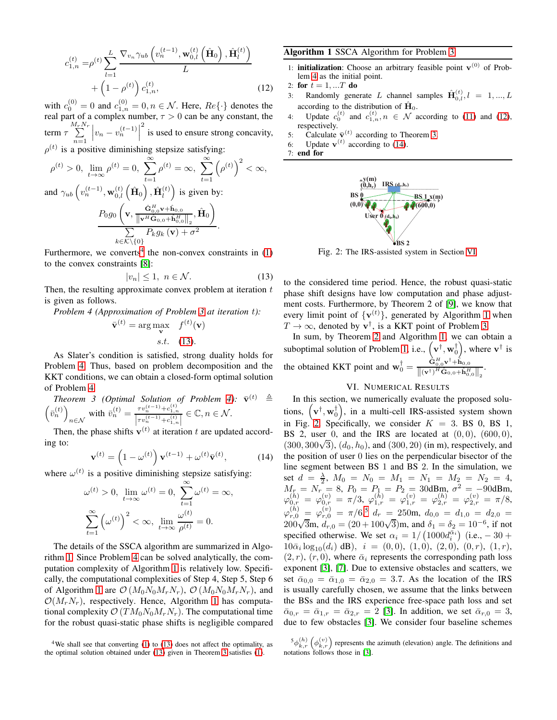$$
c_{1,n}^{(t)} = \rho^{(t)} \sum_{l=1}^{L} \frac{\nabla_{v_n} \gamma_{ub} \left( v_n^{(t-1)}, \mathbf{w}_{0,l}^{(t)} \left( \hat{\mathbf{H}}_0 \right), \hat{\mathbf{H}}_l^{(t)} \right)}{L} + \left( 1 - \rho^{(t)} \right) c_{1,n}^{(t)},
$$
\n(12)

with  $c_0^{(0)} = 0$  and  $c_{1,n}^{(0)} = 0, n \in \mathcal{N}$ . Here,  $Re\{\cdot\}$  denotes the real part of a complex number,  $\tau > 0$  can be any constant, the term  $\tau \sum^{M_rN_r}$  $n=1$  $\left| v_n - v_n^{(t-1)} \right|$ <sup>2</sup> is used to ensure strong concavity,  $\rho^{(t)}$  is a positive diminishing stepsize satisfying:

$$
\rho^{(t)} > 0, \lim_{t \to \infty} \rho^{(t)} = 0, \sum_{t=1}^{\infty} \rho^{(t)} = \infty, \sum_{t=1}^{\infty} (\rho^{(t)})^2 < \infty,
$$
  
and  $\gamma_{ub} \left( v_n^{(t-1)}, \mathbf{w}_{0,l}^{(t)} \left( \hat{\mathbf{H}}_0 \right), \hat{\mathbf{H}}_l^{(t)} \right)$  is given by:  

$$
\frac{P_0 g_0 \left( \mathbf{v}, \frac{\hat{\mathbf{G}}_{0,0}^H \mathbf{v} + \hat{\mathbf{h}}_{0,0}}{\|\mathbf{v}^H \hat{\mathbf{G}}_{0,0} + \hat{\mathbf{h}}_{0,0}^H\|_2}, \hat{\mathbf{H}}_0 \right)}{\sum_{k \in \mathcal{K} \setminus \{0\}}}.
$$

Furthermore, we converts<sup>4</sup> the non-convex constraints in  $(1)$ to the convex constraints [\[8\]](#page-5-7):

<span id="page-4-1"></span>
$$
|v_n| \le 1, \ n \in \mathcal{N}.\tag{13}
$$

Then, the resulting approximate convex problem at iteration  $t$ is given as follows.

*Problem 4 (Approximation of Problem [3](#page-3-2) at iteration* t*):*

$$
\bar{\mathbf{v}}^{(t)} = \arg\max_{\mathbf{v}} \quad f^{(t)}(\mathbf{v})
$$
  
s.t. (13).

As Slater's condition is satisfied, strong duality holds for Problem [4.](#page-4-1) Thus, based on problem decomposition and the KKT conditions, we can obtain a closed-form optimal solution of Problem [4.](#page-4-1)

<span id="page-4-3"></span>Theorem 3 (Optimal Solution of Problem 4): 
$$
\bar{\mathbf{v}}^{(t)} \triangleq \left(\bar{v}_n^{(t)}\right)_{n \in \mathcal{N}}
$$
 with  $\bar{v}_n^{(t)} = \frac{\tau v_n^{(t-1)} + c_{1,n}^{(t)}}{\left|\tau v_n^{(t-1)} + c_{1,n}^{(t)}\right|} \in \mathbb{C}, n \in \mathcal{N}$ .

 $\int n \in \mathcal{N}$ <br>Then, the phase shifts  $\mathbf{v}^{(t)}$  at iteration t are updated according to:

$$
\mathbf{v}^{(t)} = \left(1 - \omega^{(t)}\right) \mathbf{v}^{(t-1)} + \omega^{(t)} \bar{\mathbf{v}}^{(t)},\tag{14}
$$

where  $\omega^{(t)}$  is a positive diminishing stepsize satisfying:

$$
\omega^{(t)} > 0, \lim_{t \to \infty} \omega^{(t)} = 0, \sum_{t=1}^{\infty} \omega^{(t)} = \infty,
$$

$$
\sum_{t=1}^{\infty} \left(\omega^{(t)}\right)^2 < \infty, \lim_{t \to \infty} \frac{\omega^{(t)}}{\rho^{(t)}} = 0.
$$

The details of the SSCA algorithm are summarized in Algorithm [1.](#page-4-2) Since Problem [4](#page-4-1) can be solved analytically, the computation complexity of Algorithm [1](#page-4-2) is relatively low. Specifically, the computational complexities of Step 4, Step 5, Step 6 of Algorithm [1](#page-4-2) are  $\mathcal{O}(M_0N_0M_rN_r)$ ,  $\mathcal{O}(M_0N_0M_rN_r)$ , and  $\mathcal{O}(M_rN_r)$ , respectively. Hence, Algorithm [1](#page-4-2) has computational complexity  $\mathcal{O}(TM_0N_0M_rN_r)$ . The computational time for the robust quasi-static phase shifts is negligible compared

# Algorithm 1 SSCA Algorithm for Problem [3](#page-3-2)

- 1: **initialization**: Choose an arbitrary feasible point  $v^{(0)}$  of Problem [4](#page-4-1) as the initial point.
- <span id="page-4-4"></span>2: for  $t = 1, ...T$  do
- 3: Randomly generate L channel samples  $\hat{\mathbf{H}}_{0,l}^{(t)}$ ,  $l = 1, ..., L$ according to the distribution of  $\hat{H}_0$ .
- 4: Update  $c_0^{(t)}$  and  $c_{1,n}^{(t)}$ ,  $n \in \mathcal{N}$  according to [\(11\)](#page-3-5) and [\(12\)](#page-4-4), respectively.
- 5: Calculate  $\bar{\mathbf{v}}^{(t)}$  according to Theorem [3.](#page-4-3)
- 6: Update  $\mathbf{v}^{(t)}$  according to [\(14\)](#page-4-5).
- <span id="page-4-7"></span>7: end for

<span id="page-4-2"></span>

Fig. 2: The IRS-assisted system in Section [VI.](#page-4-6)

<span id="page-4-0"></span>to the considered time period. Hence, the robust quasi-static phase shift designs have low computation and phase adjustment costs. Furthermore, by Theorem 2 of [\[9\]](#page-5-9), we know that every limit point of  $\{v^{(t)}\}$ , generated by Algorithm [1](#page-4-2) when  $T \rightarrow \infty$ , denoted by  $\mathbf{v}^{\dagger}$ , is a KKT point of Problem [3.](#page-3-2)

In sum, by Theorem [2](#page-3-6) and Algorithm [1,](#page-4-2) we can obtain a suboptimal solution of Problem [1,](#page-3-0) i.e.,  $(\mathbf{v}^\dagger, \mathbf{w}_0^\dagger)$ , where  $\mathbf{v}^\dagger$  is the obtained KKT point and  $\mathbf{w}_0^{\dagger} = \frac{\hat{\mathbf{G}}_{0.0}^H \mathbf{v}^{\dagger} + \hat{\mathbf{h}}_{0.0} \hat{\mathbf{h}}_{0.0}^H}{\|\langle \mathbf{v}^{\dagger} \rangle^H \hat{\mathbf{G}}_{0.0} + \hat{\mathbf{h}}^H \hat{\mathbf{G}}_{0.0}^H\|_F^2}$  $\left\| \left(\mathbf{v}^\dagger\right)^H \hat{\mathbf{G}}_{0,0} + \hat{\mathbf{h}}^H_{0,0} \right\|_2$ .

# VI. NUMERICAL RESULTS

<span id="page-4-6"></span><span id="page-4-5"></span>In this section, we numerically evaluate the proposed solutions,  $(\mathbf{v}^\dagger, \mathbf{w}_0^\dagger)$ , in a multi-cell IRS-assisted system shown in Fig. [2.](#page-4-7) Specifically, we consider  $K = 3$ . BS 0, BS 1, BS 2, user 0, and the IRS are located at  $(0, 0)$ ,  $(600, 0)$ ,  $(300, 300\sqrt{3})$ ,  $(d_0, h_0)$ , and  $(300, 20)$  (in m), respectively, and the position of user 0 lies on the perpendicular bisector of the line segment between BS 1 and BS 2. In the simulation, we set  $d = \frac{\lambda}{2}$ ,  $M_0 = N_0 = M_1 = N_1 = M_2 = N_2 = 4$ ,  $M_{r_s} = N_{r_{(n)}} = 8, P_0 = P_1 = P_2 = 30$ dBm,  $\sigma^2 = -90$ dBm,  $\varphi _{0,r}^{\left( h\right) }=\,\varphi _{0,r}^{\left( v\right) }=\,\pi /3,\,\,\varphi _{1,r}^{\left( h\right) }=\,\varphi _{1,r}^{\left( v\right) }=\varphi _{2,r}^{\left( h\right) }=\,\varphi _{2,r}^{\left( v\right) }=\,\pi /8,$  $\varphi_{r,0}^{(h)} \ = \ \varphi_{r,0}^{(v)} \ = \ \pi/6,^5 \ d_r \ = \ 250 \text{m}, \ d_{0,0} \ = \ d_{1,0} \ = \ d_{2,0} \ =$  $200\sqrt{3}$ m,  $d_{r,0} = (20 + 100\sqrt{3})$ m, and  $\delta_1 = \delta_2 = 10^{-6}$ , if not specified otherwise. We set  $\alpha_i = 1/((1000d_i^{\bar{\alpha}_i}))(i.e., -30 +$  $10\bar{\alpha}_i \log_{10}(d_i) \text{ dB}$ ,  $i = (0,0), (1,0), (2,0), (0,r), (1,r)$ ,  $(2, r)$ ,  $(r, 0)$ , where  $\bar{\alpha}_i$  represents the corresponding path loss exponent [\[3\]](#page-5-5), [\[7\]](#page-5-6). Due to extensive obstacles and scatters, we set  $\bar{\alpha}_{0,0} = \bar{\alpha}_{1,0} = \bar{\alpha}_{2,0} = 3.7$ . As the location of the IRS is usually carefully chosen, we assume that the links between the BSs and the IRS experience free-space path loss and set  $\bar{\alpha}_{0,r} = \bar{\alpha}_{1,r} = \bar{\alpha}_{2,r} = 2$  [\[3\]](#page-5-5). In addition, we set  $\bar{\alpha}_{r,0} = 3$ , due to few obstacles [\[3\]](#page-5-5). We consider four baseline schemes

<sup>4</sup>We shall see that converting [\(1\)](#page-2-1) to [\(13\)](#page-4-0) does not affect the optimality, as the optimal solution obtained under [\(13\)](#page-4-0) given in Theorem [3](#page-4-3) satisfies [\(1\)](#page-2-1).

 ${}^5\phi_{k,r}^{(h)}\left(\phi_{k,r}^{(v)}\right)$  represents the azimuth (elevation) angle. The definitions and notations follows those in [\[3\]](#page-5-5).